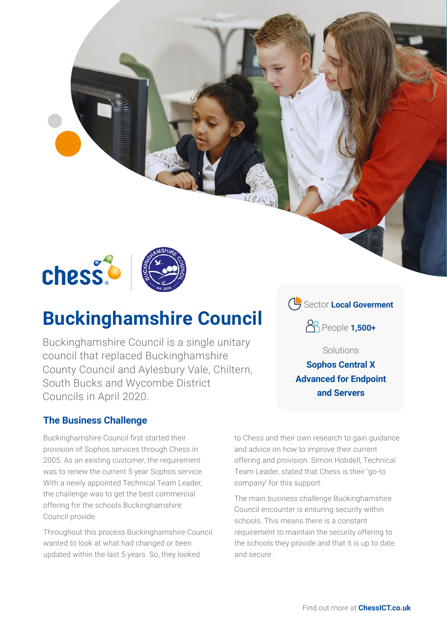

# **Buckinghamshire Council**

Buckinghamshire Council is a single unitary council that replaced Buckinghamshire County Council and Aylesbury Vale, Chiltern, South Bucks and Wycombe District Councils in April 2020.

### **The Business Challenge**

Buckinghamshire Council first started their provision of Sophos services through Chess in 2005. As an existing customer, the requirement was to renew the current 5 year Sophos service. With a newly appointed Technical Team Leader, the challenge was to get the best commercial offering for the schools Buckinghamshire Council provide.

Throughout this process Buckinghamshire Council wanted to look at what had changed or been updated within the last 5 years. So, they looked

Sector **Local Goverment**

People **1,500+**

Solutions

**Sophos Central X Advanced for Endpoint and Servers**

to Chess and their own research to gain guidance and advice on how to improve their current offering and provision. Simon Hobdell, Technical Team Leader, stated that Chess is their 'go-to company' for this support.

The main business challenge Buckinghamshire Council encounter is ensuring security within schools. This means there is a constant requirement to maintain the security offering to the schools they provide and that it is up to date and secure.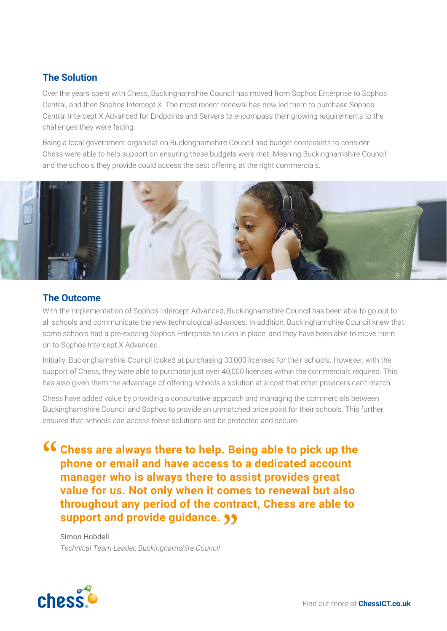#### **The Solution**

Over the years spent with Chess, Buckinghamshire Council has moved from Sophos Enterprise to Sophos Central, and then Sophos Intercept X. The most recent renewal has now led them to purchase Sophos Central Intercept X Advanced for Endpoints and Servers to encompass their growing requirements to the challenges they were facing.

Being a local government organisation Buckinghamshire Council had budget constraints to consider. Chess were able to help support on ensuring these budgets were met. Meaning Buckinghamshire Council and the schools they provide could access the best offering at the right commercials.



#### **The Outcome**

With the implementation of Sophos Intercept Advanced, Buckinghamshire Council has been able to go out to all schools and communicate the new technological advances. In addition, Buckinghamshire Council knew that some schools had a pre-existing Sophos Enterprise solution in place, and they have been able to move them on to Sophos Intercept X Advanced.

Initially, Buckinghamshire Council looked at purchasing 30,000 licenses for their schools. However, with the support of Chess, they were able to purchase just over 40,000 licenses within the commercials required. This has also given them the advantage of offering schools a solution at a cost that other providers can't match.

Chess have added value by providing a consultative approach and managing the commercials between Buckinghamshire Council and Sophos to provide an unmatched price point for their schools. This further ensures that schools can access these solutions and be protected and secure.

**Chess are always there to help. Being able to pick up the phone or email and have access to a dedicated account manager who is always there to assist provides great value for us. Not only when it comes to renewal but also throughout any period of the contract, Chess are able to support and provide guidance.**

Simon Hobdell *Technical Team Leader, Buckinghamshire Council*